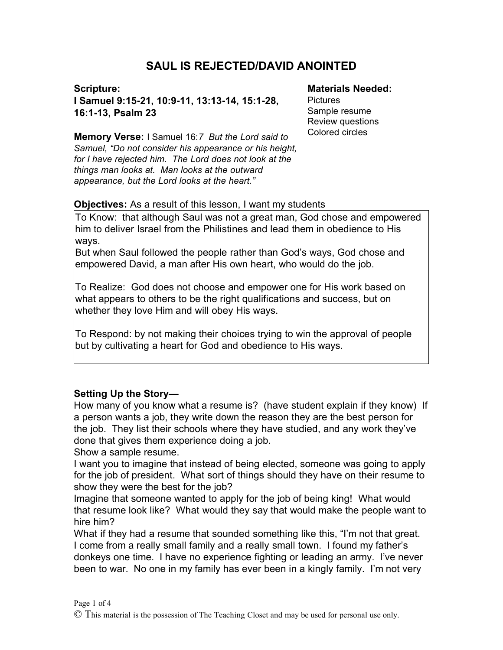# **SAUL IS REJECTED/DAVID ANOINTED**

**Scripture: I Samuel 9:15-21, 10:9-11, 13:13-14, 15:1-28, 16:1-13, Psalm 23**

**Materials Needed:**

**Pictures** Sample resume Review questions Colored circles

**Memory Verse:** I Samuel 16:*7 But the Lord said to Samuel, "Do not consider his appearance or his height, for I have rejected him. The Lord does not look at the things man looks at. Man looks at the outward appearance, but the Lord looks at the heart."*

## **Objectives:** As a result of this lesson, I want my students

To Know: that although Saul was not a great man, God chose and empowered him to deliver Israel from the Philistines and lead them in obedience to His ways.

But when Saul followed the people rather than God's ways, God chose and empowered David, a man after His own heart, who would do the job.

To Realize: God does not choose and empower one for His work based on what appears to others to be the right qualifications and success, but on whether they love Him and will obey His ways.

To Respond: by not making their choices trying to win the approval of people but by cultivating a heart for God and obedience to His ways.

### **Setting Up the Story—**

How many of you know what a resume is? (have student explain if they know) If a person wants a job, they write down the reason they are the best person for the job. They list their schools where they have studied, and any work they've done that gives them experience doing a job.

Show a sample resume.

I want you to imagine that instead of being elected, someone was going to apply for the job of president. What sort of things should they have on their resume to show they were the best for the job?

Imagine that someone wanted to apply for the job of being king! What would that resume look like? What would they say that would make the people want to hire him?

What if they had a resume that sounded something like this, "I'm not that great. I come from a really small family and a really small town. I found my father's donkeys one time. I have no experience fighting or leading an army. I've never been to war. No one in my family has ever been in a kingly family. I'm not very

© This material is the possession of The Teaching Closet and may be used for personal use only.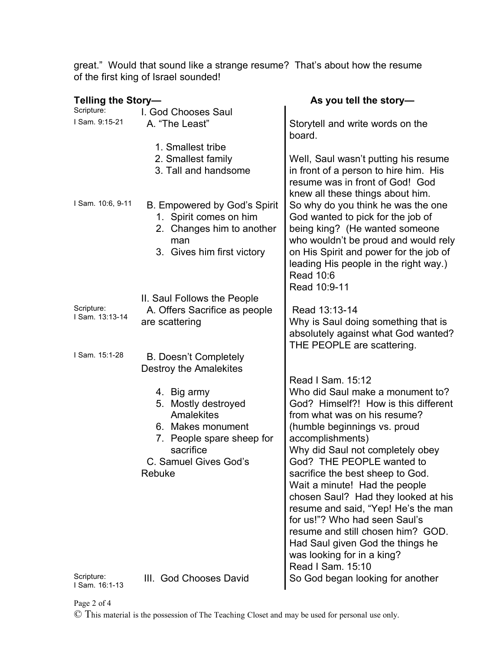great." Would that sound like a strange resume? That's about how the resume of the first king of Israel sounded!

| Telling the Story-            |                                                                                                                          | As you tell the story-                                                                                                                                                                                                                                                                                       |
|-------------------------------|--------------------------------------------------------------------------------------------------------------------------|--------------------------------------------------------------------------------------------------------------------------------------------------------------------------------------------------------------------------------------------------------------------------------------------------------------|
| Scripture:                    | I. God Chooses Saul                                                                                                      |                                                                                                                                                                                                                                                                                                              |
| I Sam. 9:15-21                | A. "The Least"                                                                                                           | Storytell and write words on the<br>board.                                                                                                                                                                                                                                                                   |
|                               | 1. Smallest tribe                                                                                                        |                                                                                                                                                                                                                                                                                                              |
|                               | 2. Smallest family<br>3. Tall and handsome                                                                               | Well, Saul wasn't putting his resume<br>in front of a person to hire him. His<br>resume was in front of God! God<br>knew all these things about him.                                                                                                                                                         |
| I Sam. 10:6, 9-11             | B. Empowered by God's Spirit<br>1. Spirit comes on him<br>2. Changes him to another<br>man<br>3. Gives him first victory | So why do you think he was the one<br>God wanted to pick for the job of<br>being king? (He wanted someone<br>who wouldn't be proud and would rely<br>on His Spirit and power for the job of<br>leading His people in the right way.)<br>Read 10:6<br>Read 10:9-11                                            |
|                               | II. Saul Follows the People                                                                                              |                                                                                                                                                                                                                                                                                                              |
| Scripture:<br>I Sam. 13:13-14 | A. Offers Sacrifice as people<br>are scattering                                                                          | Read 13:13-14<br>Why is Saul doing something that is<br>absolutely against what God wanted?<br>THE PEOPLE are scattering.                                                                                                                                                                                    |
| I Sam. 15:1-28                | <b>B. Doesn't Completely</b>                                                                                             |                                                                                                                                                                                                                                                                                                              |
|                               | Destroy the Amalekites                                                                                                   |                                                                                                                                                                                                                                                                                                              |
|                               |                                                                                                                          | Read I Sam. 15:12                                                                                                                                                                                                                                                                                            |
|                               | 4. Big army<br>5. Mostly destroyed<br>Amalekites<br>6. Makes monument<br>7. People spare sheep for<br>sacrifice          | Who did Saul make a monument to?<br>God? Himself?! How is this different<br>from what was on his resume?<br>(humble beginnings vs. proud<br>accomplishments)                                                                                                                                                 |
|                               | C. Samuel Gives God's                                                                                                    | Why did Saul not completely obey<br>God? THE PEOPLE wanted to                                                                                                                                                                                                                                                |
|                               | Rebuke                                                                                                                   | sacrifice the best sheep to God.<br>Wait a minute! Had the people<br>chosen Saul? Had they looked at his<br>resume and said, "Yep! He's the man<br>for us!"? Who had seen Saul's<br>resume and still chosen him? GOD.<br>Had Saul given God the things he<br>was looking for in a king?<br>Read I Sam. 15:10 |
| Scripture:<br>I Sam. 16:1-13  | III. God Chooses David                                                                                                   | So God began looking for another                                                                                                                                                                                                                                                                             |

#### Page 2 of 4

© This material is the possession of The Teaching Closet and may be used for personal use only.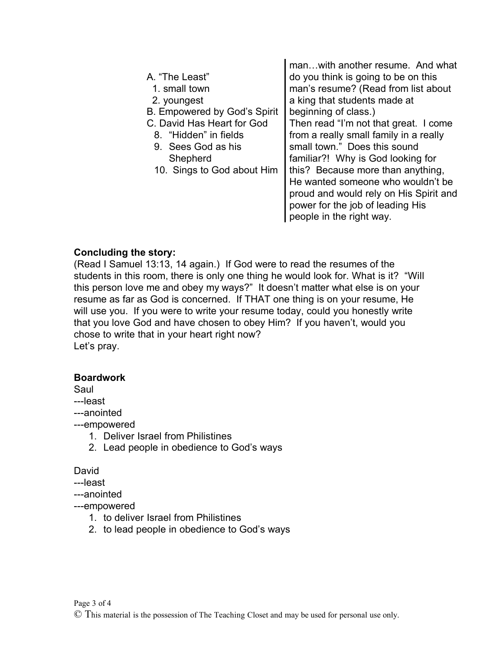|                              | man with another resume. And what      |
|------------------------------|----------------------------------------|
| A. "The Least"               | do you think is going to be on this    |
| 1. small town                | man's resume? (Read from list about    |
| 2. youngest                  | a king that students made at           |
| B. Empowered by God's Spirit | beginning of class.)                   |
| C. David Has Heart for God   | Then read "I'm not that great. I come  |
| 8. "Hidden" in fields        | from a really small family in a really |
| 9. Sees God as his           | small town." Does this sound           |
| Shepherd                     | familiar?! Why is God looking for      |
| 10. Sings to God about Him   | this? Because more than anything,      |
|                              | He wanted someone who wouldn't be      |
|                              | proud and would rely on His Spirit and |
|                              | power for the job of leading His       |
|                              | people in the right way.               |
|                              |                                        |

## **Concluding the story:**

(Read I Samuel 13:13, 14 again.) If God were to read the resumes of the students in this room, there is only one thing he would look for. What is it? "Will this person love me and obey my ways?" It doesn't matter what else is on your resume as far as God is concerned. If THAT one thing is on your resume, He will use you. If you were to write your resume today, could you honestly write that you love God and have chosen to obey Him? If you haven't, would you chose to write that in your heart right now? Let's pray.

### **Boardwork**

Saul

---least

---anointed

---empowered

- 1. Deliver Israel from Philistines
- 2. Lead people in obedience to God's ways

### David

---least

---anointed

---empowered

- 1. to deliver Israel from Philistines
- 2. to lead people in obedience to God's ways